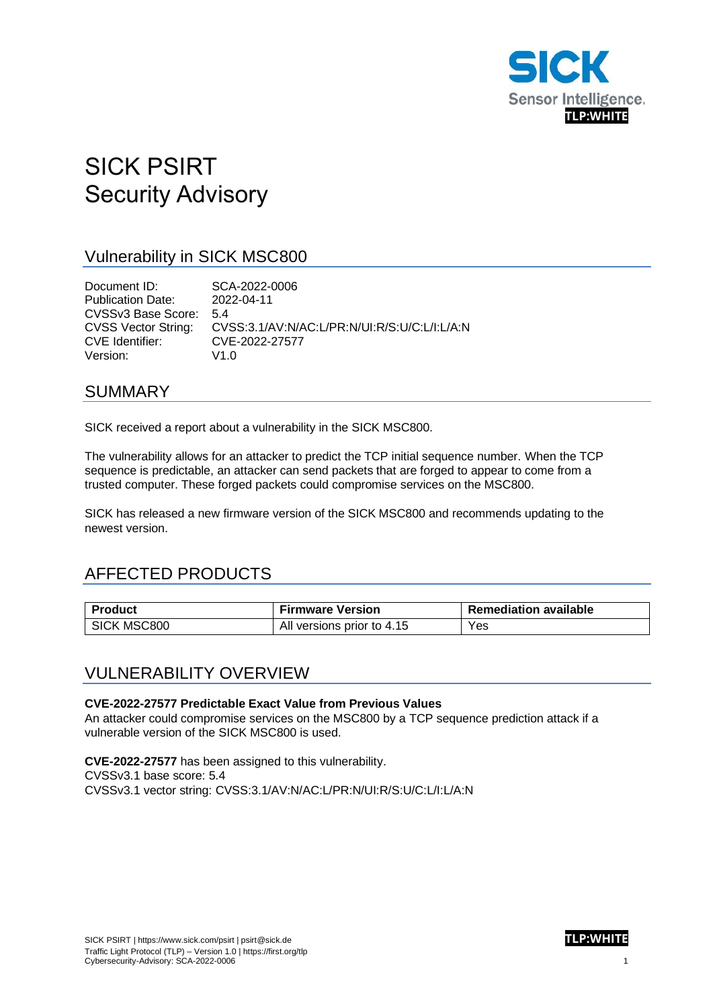

# SICK PSIRT Security Advisory

### Vulnerability in SICK MSC800

Document ID: SCA-2022-0006 Publication Date: 2022-04-11 CVSSv3 Base Score: 5.4 CVSS Vector String: CVSS:3.1/AV:N/AC:L/PR:N/UI:R/S:U/C:L/I:L/A:N CVE Identifier: CVE-2022-27577 Version: V1.0

### SUMMARY

SICK received a report about a vulnerability in the SICK MSC800.

The vulnerability allows for an attacker to predict the TCP initial sequence number. When the TCP sequence is predictable, an attacker can send packets that are forged to appear to come from a trusted computer. These forged packets could compromise services on the MSC800.

SICK has released a new firmware version of the SICK MSC800 and recommends updating to the newest version.

# AFFECTED PRODUCTS

| <b>Product</b> | <b>Firmware Version</b>    | <b>Remediation available</b> |
|----------------|----------------------------|------------------------------|
| SICK MSC800    | All versions prior to 4.15 | Yes                          |

### VULNERABILITY OVERVIEW

#### **CVE-2022-27577 Predictable Exact Value from Previous Values**

An attacker could compromise services on the MSC800 by a TCP sequence prediction attack if a vulnerable version of the SICK MSC800 is used.

**CVE-2022-27577** has been assigned to this vulnerability. CVSSv3.1 base score: 5.4 CVSSv3.1 vector string: CVSS:3.1/AV:N/AC:L/PR:N/UI:R/S:U/C:L/I:L/A:N